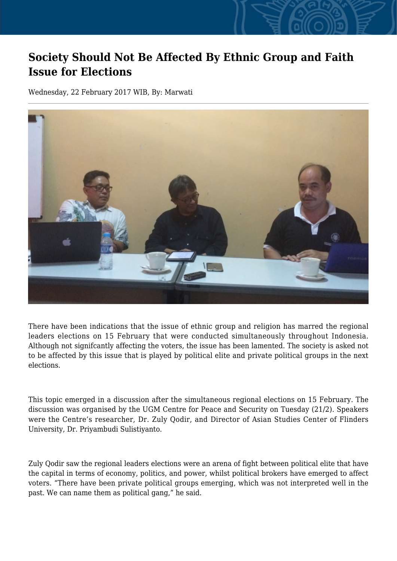## **Society Should Not Be Affected By Ethnic Group and Faith Issue for Elections**

Wednesday, 22 February 2017 WIB, By: Marwati



There have been indications that the issue of ethnic group and religion has marred the regional leaders elections on 15 February that were conducted simultaneously throughout Indonesia. Although not signifcantly affecting the voters, the issue has been lamented. The society is asked not to be affected by this issue that is played by political elite and private political groups in the next elections.

This topic emerged in a discussion after the simultaneous regional elections on 15 February. The discussion was organised by the UGM Centre for Peace and Security on Tuesday (21/2). Speakers were the Centre's researcher, Dr. Zuly Qodir, and Director of Asian Studies Center of Flinders University, Dr. Priyambudi Sulistiyanto.

Zuly Qodir saw the regional leaders elections were an arena of fight between political elite that have the capital in terms of economy, politics, and power, whilst political brokers have emerged to affect voters. "There have been private political groups emerging, which was not interpreted well in the past. We can name them as political gang," he said.